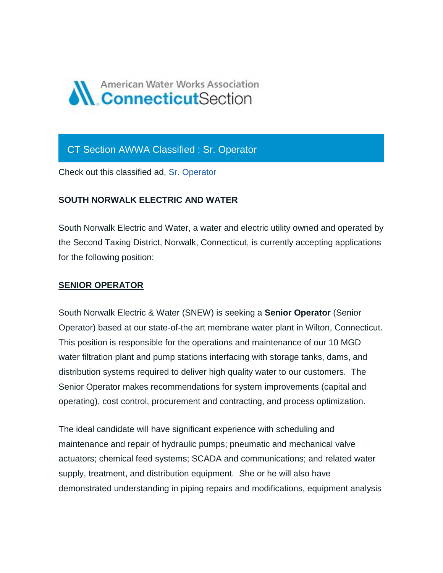

## CT Section AWWA Classified : Sr. Operator

Check out this classified ad, [Sr. Operator](https://ctawwa.org/ad-click.php?record_number=380&url=classifieds.php?record_number=380&source=email)

## **SOUTH NORWALK ELECTRIC AND WATER**

South Norwalk Electric and Water, a water and electric utility owned and operated by the Second Taxing District, Norwalk, Connecticut, is currently accepting applications for the following position:

## **SENIOR OPERATOR**

South Norwalk Electric & Water (SNEW) is seeking a **Senior Operator** (Senior Operator) based at our state-of-the art membrane water plant in Wilton, Connecticut. This position is responsible for the operations and maintenance of our 10 MGD water filtration plant and pump stations interfacing with storage tanks, dams, and distribution systems required to deliver high quality water to our customers. The Senior Operator makes recommendations for system improvements (capital and operating), cost control, procurement and contracting, and process optimization.

The ideal candidate will have significant experience with scheduling and maintenance and repair of hydraulic pumps; pneumatic and mechanical valve actuators; chemical feed systems; SCADA and communications; and related water supply, treatment, and distribution equipment. She or he will also have demonstrated understanding in piping repairs and modifications, equipment analysis